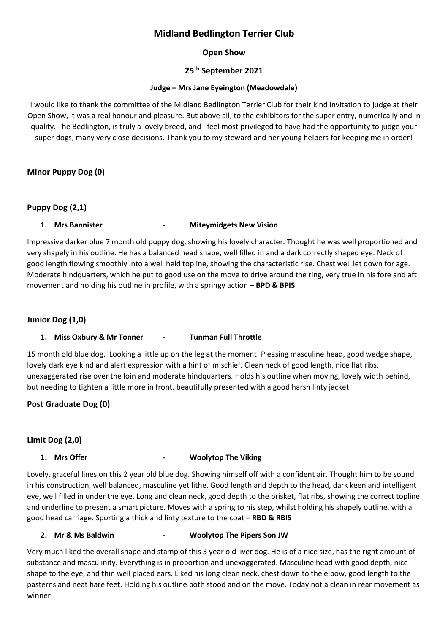# **Midland Bedlington Terrier Club**

# **Open Show**

# **25th September 2021**

#### **Judge – Mrs Jane Eyeington (Meadowdale)**

I would like to thank the committee of the Midland Bedlington Terrier Club for their kind invitation to judge at their Open Show, it was a real honour and pleasure. But above all, to the exhibitors for the super entry, numerically and in quality. The Bedlington, is truly a lovely breed, and I feel most privileged to have had the opportunity to judge your super dogs, many very close decisions. Thank you to my steward and her young helpers for keeping me in order!

### **Minor Puppy Dog (0)**

### **Puppy Dog (2,1)**

### **1. Mrs Bannister - Miteymidgets New Vision**

Impressive darker blue 7 month old puppy dog, showing his lovely character. Thought he was well proportioned and very shapely in his outline. He has a balanced head shape, well filled in and a dark correctly shaped eye. Neck of good length flowing smoothly into a well held topline, showing the characteristic rise. Chest well let down for age. Moderate hindquarters, which he put to good use on the move to drive around the ring, very true in his fore and aft movement and holding his outline in profile, with a springy action – **BPD & BPIS**

# **Junior Dog (1,0)**

#### **1. Miss Oxbury & Mr Tonner - Tunman Full Throttle**

15 month old blue dog. Looking a little up on the leg at the moment. Pleasing masculine head, good wedge shape, lovely dark eye kind and alert expression with a hint of mischief. Clean neck of good length, nice flat ribs, unexaggerated rise over the loin and moderate hindquarters. Holds his outline when moving, lovely width behind, but needing to tighten a little more in front. beautifully presented with a good harsh linty jacket

**Post Graduate Dog (0)**

# **Limit Dog (2,0)**

#### **1. Mrs Offer - Woolytop The Viking**

Lovely, graceful lines on this 2 year old blue dog. Showing himself off with a confident air. Thought him to be sound in his construction, well balanced, masculine yet lithe. Good length and depth to the head, dark keen and intelligent eye, well filled in under the eye. Long and clean neck, good depth to the brisket, flat ribs, showing the correct topline and underline to present a smart picture. Moves with a spring to his step, whilst holding his shapely outline, with a good head carriage. Sporting a thick and linty texture to the coat – **RBD & RBIS**

#### **2. Mr & Ms Baldwin - Woolytop The Pipers Son JW**

Very much liked the overall shape and stamp of this 3 year old liver dog. He is of a nice size, has the right amount of substance and masculinity. Everything is in proportion and unexaggerated. Masculine head with good depth, nice shape to the eye, and thin well placed ears. Liked his long clean neck, chest down to the elbow, good length to the pasterns and neat hare feet. Holding his outline both stood and on the move. Today not a clean in rear movement as winner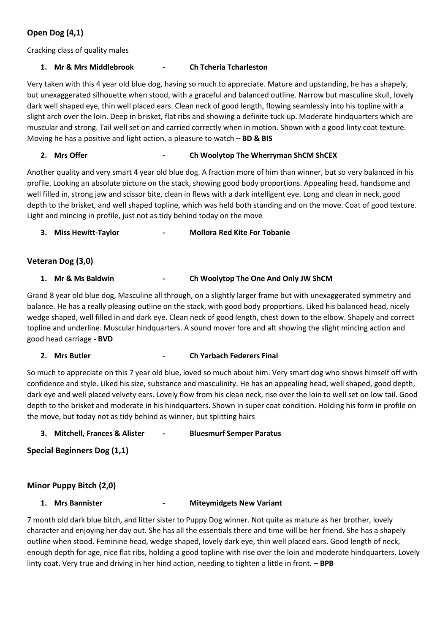# **Open Dog (4,1)**

Cracking class of quality males

### **1. Mr & Mrs Middlebrook - Ch Tcheria Tcharleston**

Very taken with this 4 year old blue dog, having so much to appreciate. Mature and upstanding, he has a shapely, but unexaggerated silhouette when stood, with a graceful and balanced outline. Narrow but masculine skull, lovely dark well shaped eye, thin well placed ears. Clean neck of good length, flowing seamlessly into his topline with a slight arch over the loin. Deep in brisket, flat ribs and showing a definite tuck up. Moderate hindquarters which are muscular and strong. Tail well set on and carried correctly when in motion. Shown with a good linty coat texture. Moving he has a positive and light action, a pleasure to watch – **BD & BIS**

### **2. Mrs Offer - Ch Woolytop The Wherryman ShCM ShCEX**

Another quality and very smart 4 year old blue dog. A fraction more of him than winner, but so very balanced in his profile. Looking an absolute picture on the stack, showing good body proportions. Appealing head, handsome and well filled in, strong jaw and scissor bite, clean in flews with a dark intelligent eye. Long and clean in neck, good depth to the brisket, and well shaped topline, which was held both standing and on the move. Coat of good texture. Light and mincing in profile, just not as tidy behind today on the move

**3. Miss Hewitt-Taylor - Mollora Red Kite For Tobanie**

### **Veteran Dog (3,0)**

#### **1. Mr & Ms Baldwin - Ch Woolytop The One And Only JW ShCM**

Grand 8 year old blue dog, Masculine all through, on a slightly larger frame but with unexaggerated symmetry and balance. He has a really pleasing outline on the stack, with good body proportions. Liked his balanced head, nicely wedge shaped, well filled in and dark eye. Clean neck of good length, chest down to the elbow. Shapely and correct topline and underline. Muscular hindquarters. A sound mover fore and aft showing the slight mincing action and good head carriage **- BVD**

#### **2. Mrs Butler - Ch Yarbach Federers Final**

So much to appreciate on this 7 year old blue, loved so much about him. Very smart dog who shows himself off with confidence and style. Liked his size, substance and masculinity. He has an appealing head, well shaped, good depth, dark eye and well placed velvety ears. Lovely flow from his clean neck, rise over the loin to well set on low tail. Good depth to the brisket and moderate in his hindquarters. Shown in super coat condition. Holding his form in profile on the move, but today not as tidy behind as winner, but splitting hairs

#### **3. Mitchell, Frances & Alister - Bluesmurf Semper Paratus**

**Special Beginners Dog (1,1)**

# **Minor Puppy Bitch (2,0)**

#### **1. Mrs Bannister - Miteymidgets New Variant**

7 month old dark blue bitch, and litter sister to Puppy Dog winner. Not quite as mature as her brother, lovely character and enjoying her day out. She has all the essentials there and time will be her friend. She has a shapely outline when stood. Feminine head, wedge shaped, lovely dark eye, thin well placed ears. Good length of neck, enough depth for age, nice flat ribs, holding a good topline with rise over the loin and moderate hindquarters. Lovely linty coat. Very true and driving in her hind action, needing to tighten a little in front. **– BPB**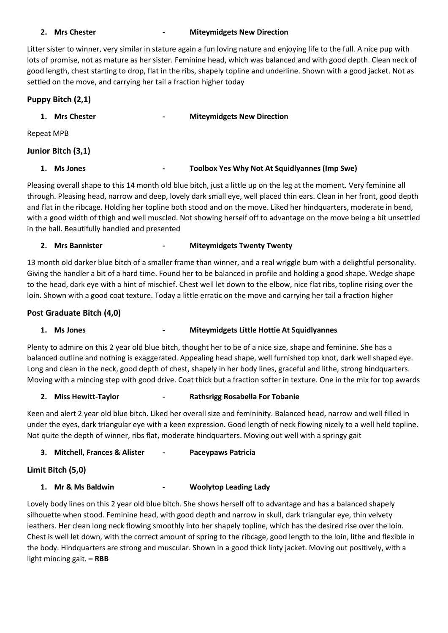# **2. Mrs Chester - Miteymidgets New Direction**

Litter sister to winner, very similar in stature again a fun loving nature and enjoying life to the full. A nice pup with lots of promise, not as mature as her sister. Feminine head, which was balanced and with good depth. Clean neck of good length, chest starting to drop, flat in the ribs, shapely topline and underline. Shown with a good jacket. Not as settled on the move, and carrying her tail a fraction higher today

# **Puppy Bitch (2,1)**

| <b>Mrs Chester</b><br>1. | $\blacksquare$ | <b>Miteymidgets New Direction</b>                    |
|--------------------------|----------------|------------------------------------------------------|
| Repeat MPB               |                |                                                      |
| Junior Bitch (3,1)       |                |                                                      |
| <b>Ms Jones</b>          | $\blacksquare$ | <b>Toolbox Yes Why Not At Squidlyannes (Imp Swe)</b> |

Pleasing overall shape to this 14 month old blue bitch, just a little up on the leg at the moment. Very feminine all through. Pleasing head, narrow and deep, lovely dark small eye, well placed thin ears. Clean in her front, good depth and flat in the ribcage. Holding her topline both stood and on the move. Liked her hindquarters, moderate in bend, with a good width of thigh and well muscled. Not showing herself off to advantage on the move being a bit unsettled in the hall. Beautifully handled and presented

### **2. Mrs Bannister - Miteymidgets Twenty Twenty**

13 month old darker blue bitch of a smaller frame than winner, and a real wriggle bum with a delightful personality. Giving the handler a bit of a hard time. Found her to be balanced in profile and holding a good shape. Wedge shape to the head, dark eye with a hint of mischief. Chest well let down to the elbow, nice flat ribs, topline rising over the loin. Shown with a good coat texture. Today a little erratic on the move and carrying her tail a fraction higher

# **Post Graduate Bitch (4,0)**

# **1. Ms Jones - Miteymidgets Little Hottie At Squidlyannes**

Plenty to admire on this 2 year old blue bitch, thought her to be of a nice size, shape and feminine. She has a balanced outline and nothing is exaggerated. Appealing head shape, well furnished top knot, dark well shaped eye. Long and clean in the neck, good depth of chest, shapely in her body lines, graceful and lithe, strong hindquarters. Moving with a mincing step with good drive. Coat thick but a fraction softer in texture. One in the mix for top awards

#### **2. Miss Hewitt-Taylor - Rathsrigg Rosabella For Tobanie**

Keen and alert 2 year old blue bitch. Liked her overall size and femininity. Balanced head, narrow and well filled in under the eyes, dark triangular eye with a keen expression. Good length of neck flowing nicely to a well held topline. Not quite the depth of winner, ribs flat, moderate hindquarters. Moving out well with a springy gait

# **3. Mitchell, Frances & Alister - Paceypaws Patricia**

# **Limit Bitch (5,0)**

# **1. Mr & Ms Baldwin - Woolytop Leading Lady**

Lovely body lines on this 2 year old blue bitch. She shows herself off to advantage and has a balanced shapely silhouette when stood. Feminine head, with good depth and narrow in skull, dark triangular eye, thin velvety leathers. Her clean long neck flowing smoothly into her shapely topline, which has the desired rise over the loin. Chest is well let down, with the correct amount of spring to the ribcage, good length to the loin, lithe and flexible in the body. Hindquarters are strong and muscular. Shown in a good thick linty jacket. Moving out positively, with a light mincing gait. **– RBB**